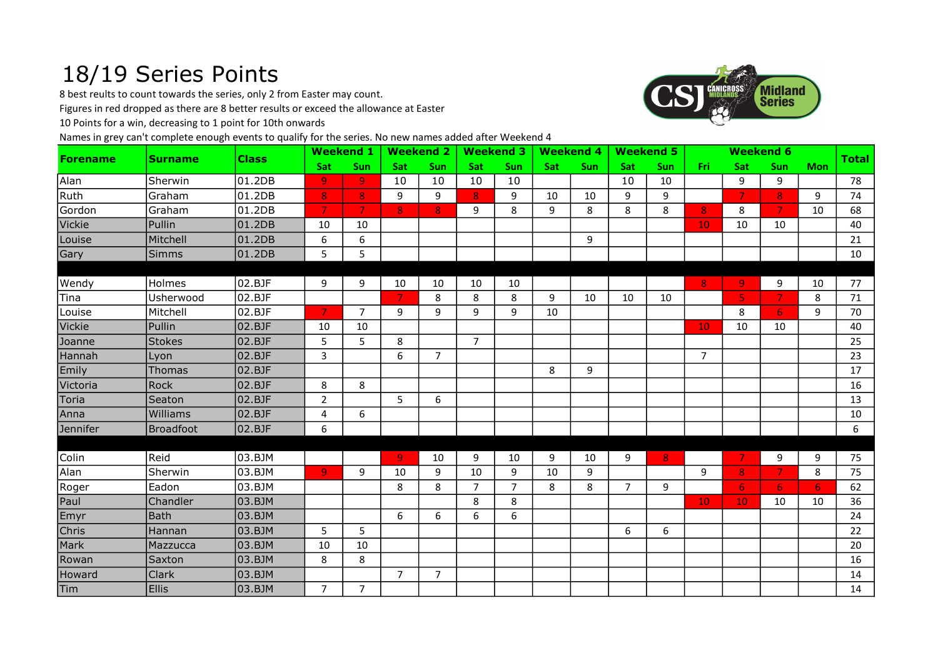## 18/19 Series Points

8 best reults to count towards the series, only 2 from Easter may count.

Figures in red dropped as there are 8 better results or exceed the allowance at Easter

10 Points for a win, decreasing to 1 point for 10th onwards

Names in grey can't complete enough events to qualify for the series. No new names added after Weekend 4



| <b>Forename</b> | <b>Surname</b>   | <b>Class</b> |                | <b>Weekend 1</b> |                | <b>Weekend 2</b> |                | <b>Weekend 3</b> | <b>Weekend 4</b> |     |                | <b>Weekend 5</b> |                 |                | <b>Weekend 6</b> |            | <b>Total</b> |
|-----------------|------------------|--------------|----------------|------------------|----------------|------------------|----------------|------------------|------------------|-----|----------------|------------------|-----------------|----------------|------------------|------------|--------------|
|                 |                  |              | Sat            | <b>Sun</b>       | <b>Sat</b>     | Sun              | <b>Sat</b>     | <b>Sun</b>       | <b>Sat</b>       | Sun | <b>Sat</b>     | <b>Sun</b>       | Fri:            | Sat            | <b>Sun</b>       | <b>Mon</b> |              |
| Alan            | Sherwin          | 01.2DB       | $\overline{9}$ | $\overline{9}$   | 10             | 10               | 10             | 10               |                  |     | 10             | 10               |                 | 9              | 9                |            | 78           |
| Ruth            | lGraham          | 01.2DB       | 8 <sup>°</sup> | 8 <sup>1</sup>   | 9              | 9                | 8              | 9                | 10               | 10  | 9              | 9                |                 | $\overline{7}$ | 8 <sup>1</sup>   | 9          | 74           |
| Gordon          | Graham           | 01.2DB       | $\overline{7}$ | $\overline{7}$   | 8              | 8                | 9              | 8                | 9                | 8   | 8              | 8                | 8               | 8              | 7.               | 10         | 68           |
| Vickie          | Pullin           | 01.2DB       | 10             | 10               |                |                  |                |                  |                  |     |                |                  | 10 <sub>1</sub> | 10             | 10               |            | 40           |
| Louise          | Mitchell         | 01.2DB       | 6              | 6                |                |                  |                |                  |                  | 9   |                |                  |                 |                |                  |            | 21           |
| Gary            | <b>Simms</b>     | 01.2DB       | 5              | 5                |                |                  |                |                  |                  |     |                |                  |                 |                |                  |            | 10           |
|                 |                  |              |                |                  |                |                  |                |                  |                  |     |                |                  |                 |                |                  |            |              |
| Wendy           | Holmes           | 02.BJF       | 9              | 9                | 10             | 10               | 10             | 10               |                  |     |                |                  | 8               | 9              | 9                | 10         | 77           |
| Tina            | Usherwood        | 02.BJF       |                |                  | 7              | 8                | 8              | 8                | 9                | 10  | 10             | 10               |                 | 5              | 7                | 8          | 71           |
| Louise          | Mitchell         | 02.BJF       | $\overline{7}$ | $\overline{7}$   | 9              | 9                | 9              | 9                | 10               |     |                |                  |                 | 8              | 6                | 9          | 70           |
| Vickie          | Pullin           | 02.BJF       | 10             | 10               |                |                  |                |                  |                  |     |                |                  | 10              | 10             | 10               |            | 40           |
| Joanne          | <b>Stokes</b>    | 02.BJF       | 5              | 5                | 8              |                  | $\overline{7}$ |                  |                  |     |                |                  |                 |                |                  |            | 25           |
| Hannah          | Lyon             | 02.BJF       | 3              |                  | 6              | $\overline{7}$   |                |                  |                  |     |                |                  | $\overline{7}$  |                |                  |            | 23           |
| Emily           | Thomas           | 02.BJF       |                |                  |                |                  |                |                  | 8                | 9   |                |                  |                 |                |                  |            | 17           |
| Victoria        | Rock             | 02.BJF       | 8              | 8                |                |                  |                |                  |                  |     |                |                  |                 |                |                  |            | 16           |
| Toria           | Seaton           | 02.BJF       | $\overline{2}$ |                  | 5              | 6                |                |                  |                  |     |                |                  |                 |                |                  |            | 13           |
| Anna            | Williams         | 02.BJF       | 4              | 6                |                |                  |                |                  |                  |     |                |                  |                 |                |                  |            | 10           |
| Jennifer        | <b>Broadfoot</b> | 02.BJF       | 6              |                  |                |                  |                |                  |                  |     |                |                  |                 |                |                  |            | 6            |
|                 |                  |              |                |                  |                |                  |                |                  |                  |     |                |                  |                 |                |                  |            |              |
| Colin           | Reid             | 03.BJM       |                |                  | 9              | 10               | 9              | 10               | 9                | 10  | 9              | 8                |                 | 7              | 9                | 9          | 75           |
| Alan            | Sherwin          | 03.BJM       | $\overline{9}$ | 9                | 10             | 9                | 10             | 9                | 10               | 9   |                |                  | 9               | 8              | 7                | 8          | 75           |
| Roger           | Eadon            | 03.BJM       |                |                  | 8              | 8                | $\overline{7}$ | $\overline{7}$   | 8                | 8   | $\overline{7}$ | 9                |                 | 6              | 6 <sup>1</sup>   | 6          | 62           |
| Paul            | Chandler         | 03.BJM       |                |                  |                |                  | 8              | 8                |                  |     |                |                  | 10 <sub>1</sub> | 10             | 10               | 10         | 36           |
| Emyr            | <b>Bath</b>      | 03.BJM       |                |                  | 6              | 6                | 6              | 6                |                  |     |                |                  |                 |                |                  |            | 24           |
| Chris           | Hannan           | 03.BJM       | 5              | 5                |                |                  |                |                  |                  |     | 6              | 6                |                 |                |                  |            | 22           |
| Mark            | Mazzucca         | 03.BJM       | 10             | 10               |                |                  |                |                  |                  |     |                |                  |                 |                |                  |            | 20           |
| Rowan           | Saxton           | 03.BJM       | 8              | 8                |                |                  |                |                  |                  |     |                |                  |                 |                |                  |            | 16           |
| Howard          | <b>Clark</b>     | 03.BJM       |                |                  | $\overline{7}$ | $\overline{7}$   |                |                  |                  |     |                |                  |                 |                |                  |            | 14           |
| Tim             | <b>Ellis</b>     | 03.BJM       | $\overline{7}$ | $7^{\circ}$      |                |                  |                |                  |                  |     |                |                  |                 |                |                  |            | 14           |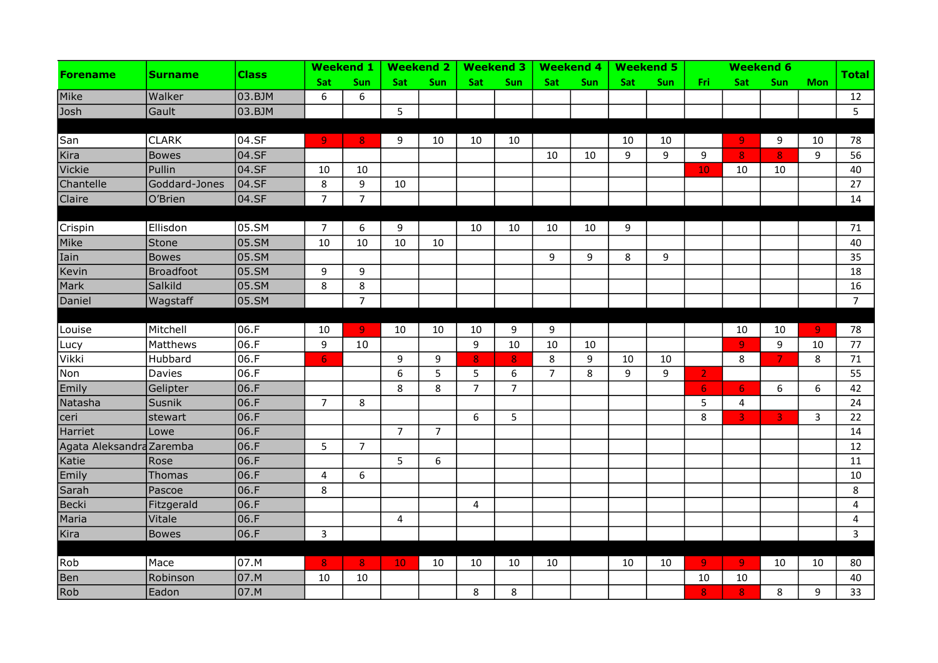|                          | <b>Surname</b>   | <b>Class</b> |                         | <b>Weekend 1</b> |                | <b>Weekend 2</b> |                | <b>Weekend 3</b> |                | <b>Weekend 4</b> |            | <b>Weekend 5</b> |                |                         | <b>Weekend 6</b>        |                |                 |
|--------------------------|------------------|--------------|-------------------------|------------------|----------------|------------------|----------------|------------------|----------------|------------------|------------|------------------|----------------|-------------------------|-------------------------|----------------|-----------------|
| <b>Forename</b>          |                  |              | Sat                     | Sun              | <b>Sat</b>     | Sun              | Sat            | Sun              | Sat            | Sun              | <b>Sat</b> | Sun              | Fri            | Sat                     | Sun                     | <b>Mon</b>     | <b>Total</b>    |
| Mike                     | Walker           | 03.BJM       | 6                       | 6                |                |                  |                |                  |                |                  |            |                  |                |                         |                         |                | 12              |
| Josh                     | Gault            | 03.BJM       |                         |                  | 5              |                  |                |                  |                |                  |            |                  |                |                         |                         |                | $5\overline{)}$ |
|                          |                  |              |                         |                  |                |                  |                |                  |                |                  |            |                  |                |                         |                         |                |                 |
| San                      | <b>CLARK</b>     | 04.SF        | $\overline{9}$          | 8 <sub>1</sub>   | 9              | 10               | 10             | 10               |                |                  | 10         | 10               |                | $\overline{9}$          | 9                       | 10             | 78              |
| Kira                     | <b>Bowes</b>     | 04.SF        |                         |                  |                |                  |                |                  | 10             | 10               | 9          | 9                | 9              | $\mathbf{8}$            | 8                       | 9              | 56              |
| Vickie                   | Pullin           | 04.SF        | 10                      | 10               |                |                  |                |                  |                |                  |            |                  | 10             | 10                      | 10                      |                | 40              |
| Chantelle                | Goddard-Jones    | 04.SF        | 8                       | 9                | 10             |                  |                |                  |                |                  |            |                  |                |                         |                         |                | 27              |
| Claire                   | O'Brien          | $04.$ SF     | $\overline{7}$          | $\overline{7}$   |                |                  |                |                  |                |                  |            |                  |                |                         |                         |                | 14              |
|                          |                  |              |                         |                  |                |                  |                |                  |                |                  |            |                  |                |                         |                         |                |                 |
| Crispin                  | Ellisdon         | 05.SM        | $\overline{7}$          | 6                | 9              |                  | 10             | 10               | 10             | 10               | 9          |                  |                |                         |                         |                | 71              |
| Mike                     | Stone            | 05.SM        | 10                      | 10               | 10             | 10               |                |                  |                |                  |            |                  |                |                         |                         |                | 40              |
| Iain                     | <b>Bowes</b>     | 05.SM        |                         |                  |                |                  |                |                  | 9              | 9                | 8          | 9                |                |                         |                         |                | 35              |
| Kevin                    | <b>Broadfoot</b> | 05.SM        | 9                       | 9                |                |                  |                |                  |                |                  |            |                  |                |                         |                         |                | 18              |
| Mark                     | Salkild          | 05.SM        | 8                       | 8                |                |                  |                |                  |                |                  |            |                  |                |                         |                         |                | 16              |
| Daniel                   | Wagstaff         | 05.SM        |                         | $\overline{7}$   |                |                  |                |                  |                |                  |            |                  |                |                         |                         |                | $\overline{7}$  |
|                          |                  |              |                         |                  |                |                  |                |                  |                |                  |            |                  |                |                         |                         |                |                 |
| Louise                   | Mitchell         | 06.F         | 10                      | -91              | 10             | 10               | 10             | 9                | 9              |                  |            |                  |                | 10                      | 10                      | $\overline{9}$ | 78              |
| Lucy                     | Matthews         | 06.F         | 9                       | 10               |                |                  | 9              | 10               | 10             | 10               |            |                  |                | $\overline{9}$          | 9                       | 10             | 77              |
| Vikki                    | Hubbard          | 06.F         | 6 <sub>1</sub>          |                  | 9              | 9                | $\bf{8}$       | 8                | 8              | 9                | 10         | 10               |                | 8                       | $\overline{7}$          | 8              | 71              |
| Non                      | Davies           | 06.F         |                         |                  | 6              | 5                | 5              | 6                | $\overline{7}$ | 8                | 9          | 9                | $\overline{2}$ |                         |                         |                | 55              |
| Emily                    | Gelipter         | 06.F         |                         |                  | 8              | 8                | $\overline{7}$ | $\overline{7}$   |                |                  |            |                  | 6 <sub>1</sub> | $\overline{6}$          | 6                       | 6              | 42              |
| Natasha                  | Susnik           | 06.F         | $\overline{7}$          | 8                |                |                  |                |                  |                |                  |            |                  | 5              | 4                       |                         |                | 24              |
| ceri                     | stewart          | 06.F         |                         |                  |                |                  | 6              | 5                |                |                  |            |                  | 8              | $\overline{3}$          | $\overline{\mathbf{3}}$ | 3              | 22              |
| Harriet                  | Lowe             | 06.F         |                         |                  | $\overline{7}$ | $\overline{7}$   |                |                  |                |                  |            |                  |                |                         |                         |                | 14              |
| Agata Aleksandra Zaremba |                  | 06.F         | 5                       | $\overline{7}$   |                |                  |                |                  |                |                  |            |                  |                |                         |                         |                | 12              |
| Katie                    | Rose             | 06.F         |                         |                  | 5              | 6                |                |                  |                |                  |            |                  |                |                         |                         |                | 11              |
| Emily                    | <b>Thomas</b>    | 06.F         | $\overline{\mathbf{4}}$ | 6                |                |                  |                |                  |                |                  |            |                  |                |                         |                         |                | 10              |
| Sarah                    | Pascoe           | 06.F         | 8                       |                  |                |                  |                |                  |                |                  |            |                  |                |                         |                         |                | 8               |
| Becki                    | Fitzgerald       | 06.F         |                         |                  |                |                  | $\overline{4}$ |                  |                |                  |            |                  |                |                         |                         |                | $\overline{4}$  |
| Maria                    | Vitale           | 06.F         |                         |                  | 4              |                  |                |                  |                |                  |            |                  |                |                         |                         |                | 4               |
| Kira                     | <b>Bowes</b>     | 06.F         | 3                       |                  |                |                  |                |                  |                |                  |            |                  |                |                         |                         |                | $\overline{3}$  |
|                          |                  |              |                         |                  |                |                  |                |                  |                |                  |            |                  |                |                         |                         |                |                 |
| Rob                      | Mace             | 07.M         | 8 <sub>o</sub>          | 8                | <b>10</b>      | 10               | 10             | 10               | 10             |                  | 10         | 10               | 9 <sub>1</sub> | $\overline{9}$          | 10                      | 10             | 80              |
| Ben                      | Robinson         | 07.M         | 10                      | 10               |                |                  |                |                  |                |                  |            |                  | 10             | 10                      |                         |                | 40              |
| Rob                      | Eadon            | 07.M         |                         |                  |                |                  | 8              | 8                |                |                  |            |                  | 8              | $\overline{\mathbf{8}}$ | 8                       | 9              | 33              |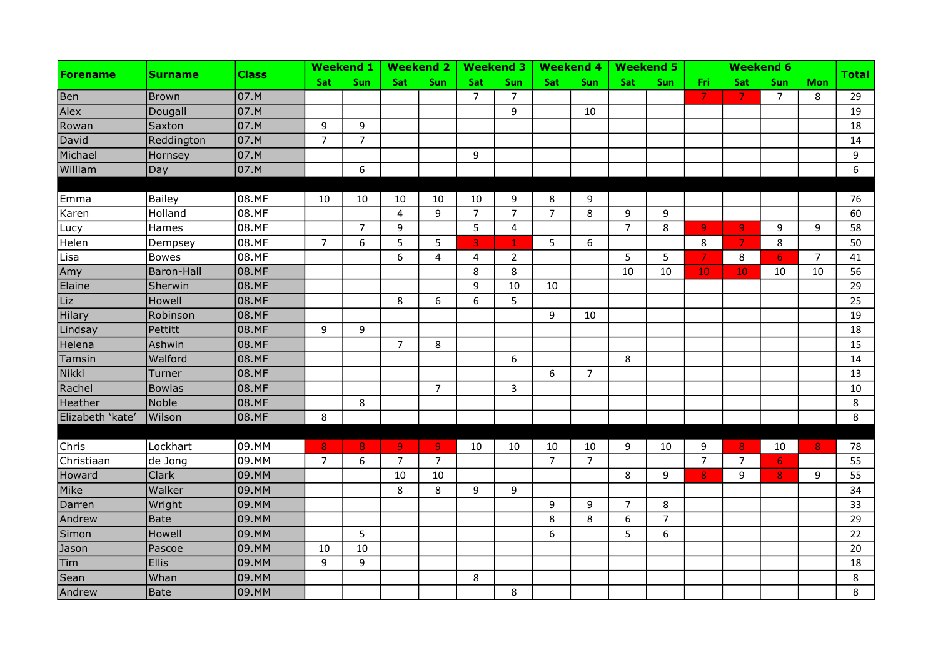| <b>Forename</b>  | <b>Surname</b> |              |                | <b>Weekend 1</b> |                | <b>Weekend 2</b> |                | <b>Weekend 3</b> |                | <b>Weekend 4</b> |                | <b>Weekend 5</b> |                 |                | <b>Weekend 6</b> |                |              |
|------------------|----------------|--------------|----------------|------------------|----------------|------------------|----------------|------------------|----------------|------------------|----------------|------------------|-----------------|----------------|------------------|----------------|--------------|
|                  |                | <b>Class</b> | <b>Sat</b>     | Sun              | <b>Sat</b>     | Sun              | <b>Sat</b>     | Sun              | Sat            | Sun              | <b>Sat</b>     | Sun              | Fri             | Sat            | Sun              | <b>Mon</b>     | <b>Total</b> |
| Ben              | Brown          | 07.M         |                |                  |                |                  | $\overline{7}$ | $\overline{7}$   |                |                  |                |                  | 7.              | $\overline{7}$ | $\overline{7}$   | 8              | 29           |
| Alex             | Dougall        | 07.M         |                |                  |                |                  |                | 9                |                | 10               |                |                  |                 |                |                  |                | 19           |
| Rowan            | Saxton         | 07.M         | 9              | 9                |                |                  |                |                  |                |                  |                |                  |                 |                |                  |                | 18           |
| David            | Reddington     | 07.M         | $\overline{7}$ | $\overline{7}$   |                |                  |                |                  |                |                  |                |                  |                 |                |                  |                | 14           |
| Michael          | Hornsey        | 07.M         |                |                  |                |                  | 9              |                  |                |                  |                |                  |                 |                |                  |                | 9            |
| William          | Day            | 07.M         |                | 6                |                |                  |                |                  |                |                  |                |                  |                 |                |                  |                | 6            |
|                  |                |              |                |                  |                |                  |                |                  |                |                  |                |                  |                 |                |                  |                |              |
| Emma             | Bailey         | 08.MF        | 10             | 10               | 10             | 10               | 10             | 9                | 8              | 9                |                |                  |                 |                |                  |                | 76           |
| Karen            | Holland        | 08.MF        |                |                  | 4              | 9                | $\overline{7}$ | $\overline{7}$   | $\overline{7}$ | 8                | 9              | 9                |                 |                |                  |                | 60           |
| Lucy             | Hames          | 08.MF        |                | $\overline{7}$   | 9              |                  | 5              | 4                |                |                  | $\overline{7}$ | 8                | 9               | $\overline{9}$ | 9                | 9              | 58           |
| Helen            | Dempsey        | 08.MF        | 7              | 6                | 5              | 5                | $\overline{3}$ | $\mathbf{1}$     | 5              | 6                |                |                  | 8               | $\overline{7}$ | 8                |                | 50           |
| Lisa             | <b>Bowes</b>   | 08.MF        |                |                  | 6              | 4                | 4              | $\overline{2}$   |                |                  | 5              | 5                | $\mathcal{T}$   | 8              | 6 <sub>1</sub>   | $\overline{7}$ | 41           |
| Amy              | Baron-Hall     | 08.MF        |                |                  |                |                  | 8              | 8                |                |                  | 10             | 10               | 10 <sub>1</sub> | 10             | 10               | 10             | 56           |
| Elaine           | Sherwin        | 08.MF        |                |                  |                |                  | 9              | 10               | 10             |                  |                |                  |                 |                |                  |                | 29           |
| Liz              | Howell         | 08.MF        |                |                  | 8              | 6                | 6              | 5                |                |                  |                |                  |                 |                |                  |                | 25           |
| Hilary           | Robinson       | 08.MF        |                |                  |                |                  |                |                  | 9              | 10               |                |                  |                 |                |                  |                | 19           |
| Lindsay          | Pettitt        | 08.MF        | 9              | 9                |                |                  |                |                  |                |                  |                |                  |                 |                |                  |                | 18           |
| Helena           | Ashwin         | 08.MF        |                |                  | $\overline{7}$ | 8                |                |                  |                |                  |                |                  |                 |                |                  |                | 15           |
| Tamsin           | Walford        | 08.MF        |                |                  |                |                  |                | 6                |                |                  | 8              |                  |                 |                |                  |                | 14           |
| Nikki            | Turner         | 08.MF        |                |                  |                |                  |                |                  | 6              | $\overline{7}$   |                |                  |                 |                |                  |                | 13           |
| Rachel           | <b>Bowlas</b>  | 08.MF        |                |                  |                | $\overline{7}$   |                | 3                |                |                  |                |                  |                 |                |                  |                | $10\,$       |
| Heather          | Noble          | 08.MF        |                | 8                |                |                  |                |                  |                |                  |                |                  |                 |                |                  |                | 8            |
| Elizabeth 'kate' | Wilson         | 08.MF        | 8              |                  |                |                  |                |                  |                |                  |                |                  |                 |                |                  |                | 8            |
|                  |                |              |                |                  |                |                  |                |                  |                |                  |                |                  |                 |                |                  |                |              |
| Chris            | Lockhart       | 09.MM        | 8 <sup>°</sup> | 8 <sup>°</sup>   | $\overline{9}$ | -91              | 10             | 10               | 10             | 10               | 9              | 10               | 9               | 8              | 10               | 8 <sup>°</sup> | 78           |
| Christiaan       | de Jong        | 09.MM        | $\overline{7}$ | 6                | $\overline{7}$ | $\overline{7}$   |                |                  | $\overline{7}$ | $\overline{7}$   |                |                  | $\overline{7}$  | $\overline{7}$ | 6                |                | 55           |
| Howard           | Clark          | 09.MM        |                |                  | 10             | 10               |                |                  |                |                  | 8              | 9                | 8               | 9              | 8 <sup>°</sup>   | 9              | 55           |
| Mike             | Walker         | 09.MM        |                |                  | 8              | 8                | 9              | 9                |                |                  |                |                  |                 |                |                  |                | 34           |
| Darren           | Wright         | 09.MM        |                |                  |                |                  |                |                  | 9              | 9                | $\overline{7}$ | 8                |                 |                |                  |                | 33           |
| Andrew           | <b>Bate</b>    | 09.MM        |                |                  |                |                  |                |                  | 8              | 8                | 6              | $\overline{7}$   |                 |                |                  |                | 29           |
| Simon            | Howell         | 09.MM        |                | 5                |                |                  |                |                  | 6              |                  | 5              | 6                |                 |                |                  |                | 22           |
| Jason            | Pascoe         | 09.MM        | 10             | 10               |                |                  |                |                  |                |                  |                |                  |                 |                |                  |                | 20           |
| Tim              | <b>Ellis</b>   | 09.MM        | 9              | 9                |                |                  |                |                  |                |                  |                |                  |                 |                |                  |                | 18           |
| Sean             | Whan           | 09.MM        |                |                  |                |                  | 8              |                  |                |                  |                |                  |                 |                |                  |                | 8            |
| Andrew           | Bate           | 09.MM        |                |                  |                |                  |                | 8                |                |                  |                |                  |                 |                |                  |                | 8            |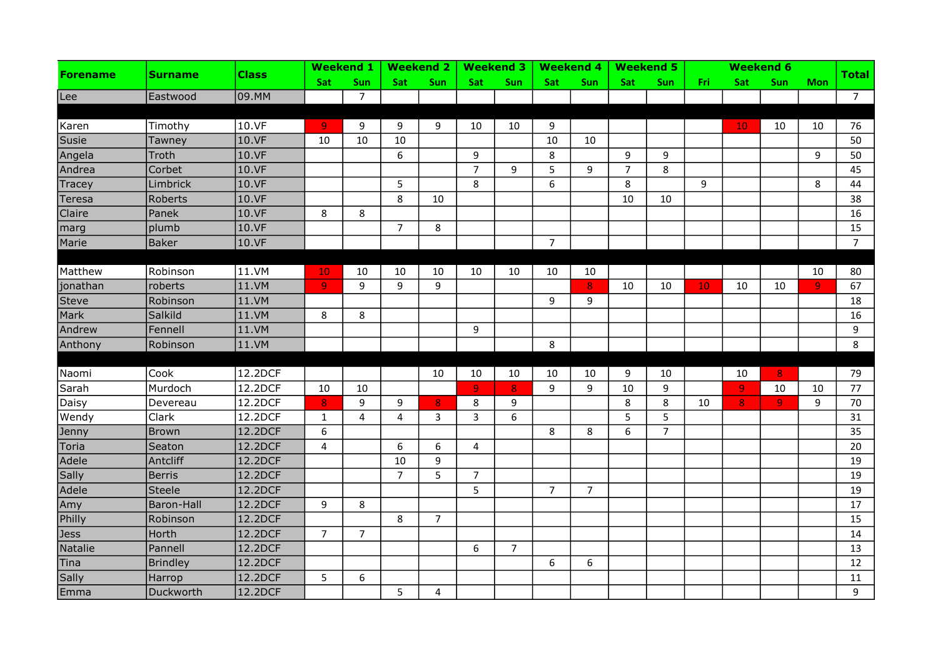| <b>Forename</b> | Surname           |              |                  | <b>Weekend 1</b> |                | <b>Weekend 2</b> |                | <b>Weekend 3</b> |                | <b>Weekend 4</b> |                | <b>Weekend 5</b> |     |                | <b>Weekend 6</b> |                |                |
|-----------------|-------------------|--------------|------------------|------------------|----------------|------------------|----------------|------------------|----------------|------------------|----------------|------------------|-----|----------------|------------------|----------------|----------------|
|                 |                   | <b>Class</b> | Sat              | Sun              | Sat            | Sun              | Sat            | Sun              | Sat            | Sun              | Sat            | Sun              | Fri | Sat            | Sun              | <b>Mon</b>     | <b>Total</b>   |
| lLee            | Eastwood          | 09.MM        |                  | $\overline{7}$   |                |                  |                |                  |                |                  |                |                  |     |                |                  |                | $\overline{7}$ |
|                 |                   |              |                  |                  |                |                  |                |                  |                |                  |                |                  |     |                |                  |                |                |
| Karen           | Timothy           | 10.VF        | 9                | 9                | 9              | 9                | 10             | 10               | 9              |                  |                |                  |     | 10             | 10               | 10             | 76             |
| Susie           | Tawney            | 10.VF        | 10               | 10               | 10             |                  |                |                  | 10             | 10               |                |                  |     |                |                  |                | 50             |
| Angela          | Troth             | 10.VF        |                  |                  | 6              |                  | 9              |                  | 8              |                  | 9              | 9                |     |                |                  | 9              | 50             |
| Andrea          | Corbet            | 10.VF        |                  |                  |                |                  | $\overline{7}$ | 9                | 5              | 9                | $\overline{7}$ | 8                |     |                |                  |                | 45             |
| Tracey          | Limbrick          | 10.VF        |                  |                  | 5              |                  | 8              |                  | 6              |                  | 8              |                  | 9   |                |                  | 8              | 44             |
| Teresa          | Roberts           | 10.VF        |                  |                  | 8              | 10               |                |                  |                |                  | 10             | 10               |     |                |                  |                | 38             |
| Claire          | Panek             | 10.VF        | 8                | 8                |                |                  |                |                  |                |                  |                |                  |     |                |                  |                | 16             |
| marg            | plumb             | 10.VF        |                  |                  | $\overline{7}$ | 8                |                |                  |                |                  |                |                  |     |                |                  |                | 15             |
| Marie           | <b>Baker</b>      | 10.VF        |                  |                  |                |                  |                |                  | $\overline{7}$ |                  |                |                  |     |                |                  |                | 7 <sup>7</sup> |
|                 |                   |              |                  |                  |                |                  |                |                  |                |                  |                |                  |     |                |                  |                |                |
| Matthew         | Robinson          | 11.VM        | 10               | 10               | 10             | 10               | 10             | 10               | 10             | 10               |                |                  |     |                |                  | 10             | 80             |
| jonathan        | roberts           | 11.VM        | $\overline{9}$   | 9                | 9              | 9                |                |                  |                | 8 <sup>°</sup>   | 10             | 10               | 10  | 10             | 10               | $\overline{9}$ | 67             |
| <b>Steve</b>    | Robinson          | 11.VM        |                  |                  |                |                  |                |                  | 9              | 9                |                |                  |     |                |                  |                | 18             |
| Mark            | Salkild           | 11.VM        | 8                | 8                |                |                  |                |                  |                |                  |                |                  |     |                |                  |                | 16             |
| Andrew          | Fennell           | 11.VM        |                  |                  |                |                  | 9              |                  |                |                  |                |                  |     |                |                  |                | 9              |
| Anthony         | Robinson          | 11.VM        |                  |                  |                |                  |                |                  | 8              |                  |                |                  |     |                |                  |                | 8              |
|                 |                   |              |                  |                  |                |                  |                |                  |                |                  |                |                  |     |                |                  |                |                |
| Naomi           | Cook              | 12.2DCF      |                  |                  |                | 10               | 10             | 10               | 10             | 10               | 9              | 10               |     | 10             | 8 <sub>1</sub>   |                | 79             |
| Sarah           | Murdoch           | 12.2DCF      | 10               | 10               |                |                  | $\overline{9}$ | 8                | 9              | 9                | 10             | 9                |     | $\overline{9}$ | 10               | 10             | 77             |
| Daisy           | Devereau          | 12.2DCF      | $\boldsymbol{8}$ | 9                | 9              | 8                | 8              | 9                |                |                  | 8              | 8                | 10  | $\bf{8}$       | 9                | 9              | 70             |
| Wendy           | Clark             | 12.2DCF      | $\mathbf{1}$     | $\overline{4}$   | $\overline{4}$ | 3                | 3              | 6                |                |                  | 5              | 5                |     |                |                  |                | 31             |
| Jenny           | Brown             | 12.2DCF      | 6                |                  |                |                  |                |                  | 8              | 8                | 6              | $\overline{7}$   |     |                |                  |                | 35             |
| Toria           | Seaton            | 12.2DCF      | $\pmb{4}$        |                  | 6              | 6                | $\overline{4}$ |                  |                |                  |                |                  |     |                |                  |                | 20             |
| Adele           | Antcliff          | 12.2DCF      |                  |                  | 10             | 9                |                |                  |                |                  |                |                  |     |                |                  |                | 19             |
| Sally           | Berris            | 12.2DCF      |                  |                  | $\overline{7}$ | 5                | $\overline{7}$ |                  |                |                  |                |                  |     |                |                  |                | 19             |
| Adele           | Steele            | 12.2DCF      |                  |                  |                |                  | 5              |                  | $\overline{7}$ | $\overline{7}$   |                |                  |     |                |                  |                | 19             |
| Amy             | <b>Baron-Hall</b> | 12.2DCF      | 9                | 8                |                |                  |                |                  |                |                  |                |                  |     |                |                  |                | 17             |
| Philly          | Robinson          | 12.2DCF      |                  |                  | 8              | $\overline{7}$   |                |                  |                |                  |                |                  |     |                |                  |                | 15             |
| Jess            | Horth             | 12.2DCF      | $\overline{7}$   | $\overline{7}$   |                |                  |                |                  |                |                  |                |                  |     |                |                  |                | 14             |
| Natalie         | Pannell           | 12.2DCF      |                  |                  |                |                  | 6              | $\overline{7}$   |                |                  |                |                  |     |                |                  |                | 13             |
| Tina            | <b>Brindley</b>   | 12.2DCF      |                  |                  |                |                  |                |                  | 6              | 6                |                |                  |     |                |                  |                | 12             |
| Sally           | Harrop            | 12.2DCF      | 5                | 6                |                |                  |                |                  |                |                  |                |                  |     |                |                  |                | 11             |
| Emma            | Duckworth         | 12.2DCF      |                  |                  | 5              | 4                |                |                  |                |                  |                |                  |     |                |                  |                | 9              |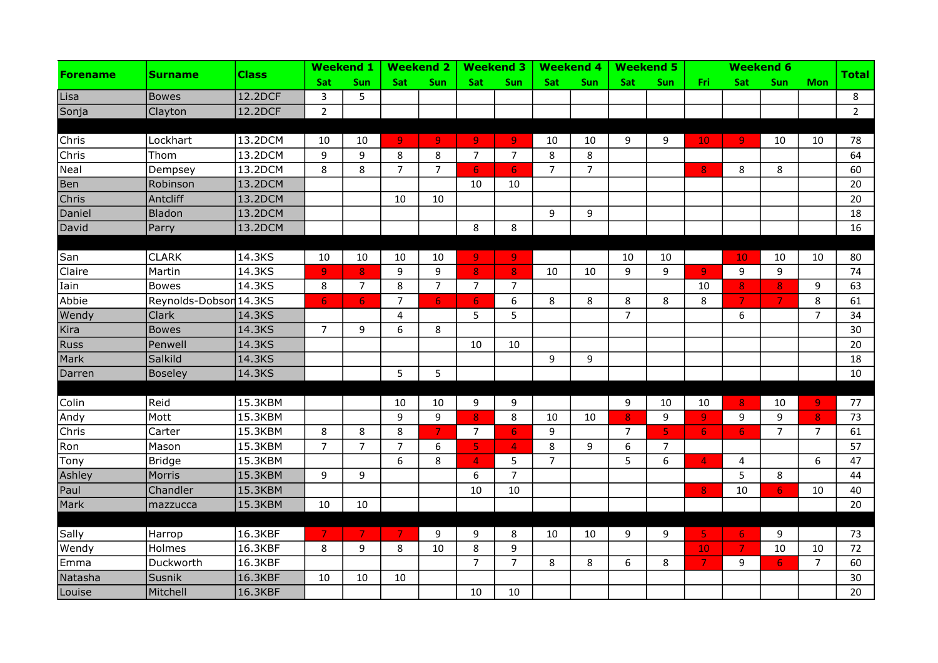| <b>Forename</b> | <b>Surname</b>         | <b>Class</b> |                | <b>Weekend 1</b> |                | <b>Weekend 2</b> |                | <b>Weekend 3</b> |                | <b>Weekend 4</b> |                | <b>Weekend 5</b> |                 |                | <b>Weekend 6</b> |                |              |
|-----------------|------------------------|--------------|----------------|------------------|----------------|------------------|----------------|------------------|----------------|------------------|----------------|------------------|-----------------|----------------|------------------|----------------|--------------|
|                 |                        |              | Sat            | Sun              | Sat            | Sun              | <b>Sat</b>     | Sun              | <b>Sat</b>     | Sun              | <b>Sat</b>     | Sun              | Fri             | Sat            | Sun              | <b>Mon</b>     | <b>Total</b> |
| Lisa            | <b>Bowes</b>           | 12.2DCF      | 3              | 5                |                |                  |                |                  |                |                  |                |                  |                 |                |                  |                | 8            |
| Sonja           | Clayton                | 12.2DCF      | $\overline{2}$ |                  |                |                  |                |                  |                |                  |                |                  |                 |                |                  |                | $2^{\circ}$  |
|                 |                        |              |                |                  |                |                  |                |                  |                |                  |                |                  |                 |                |                  |                |              |
| Chris           | Lockhart               | 13.2DCM      | 10             | 10               | 9.             | 9.               | 9              | 9.               | 10             | 10               | 9              | 9                | 10 <sub>1</sub> | 9              | 10               | 10             | 78           |
| Chris           | Thom                   | 13.2DCM      | $\mathsf g$    | 9                | 8              | 8                | $\overline{7}$ | $\overline{7}$   | 8              | 8                |                |                  |                 |                |                  |                | 64           |
| Neal            | Dempsey                | 13.2DCM      | 8              | 8                | $\overline{7}$ | $\overline{7}$   | 6 <sup>1</sup> | $6 \overline{6}$ | $\overline{7}$ | $\overline{7}$   |                |                  | 8               | 8              | 8                |                | 60           |
| Ben             | Robinson               | 13.2DCM      |                |                  |                |                  | 10             | 10               |                |                  |                |                  |                 |                |                  |                | 20           |
| Chris           | Antcliff               | 13.2DCM      |                |                  | 10             | 10               |                |                  |                |                  |                |                  |                 |                |                  |                | 20           |
| Daniel          | Bladon                 | 13.2DCM      |                |                  |                |                  |                |                  | 9              | 9                |                |                  |                 |                |                  |                | 18           |
| David           | Parry                  | 13.2DCM      |                |                  |                |                  | 8              | 8                |                |                  |                |                  |                 |                |                  |                | 16           |
|                 |                        |              |                |                  |                |                  |                |                  |                |                  |                |                  |                 |                |                  |                |              |
| San             | <b>CLARK</b>           | 14.3KS       | 10             | 10               | 10             | 10               | $\overline{9}$ | $\overline{9}$   |                |                  | 10             | 10               |                 | 10             | 10               | 10             | 80           |
| Claire          | Martin                 | 14.3KS       | $\overline{9}$ | 8                | 9              | 9                | $\mathbf{8}$   | 8                | 10             | 10               | 9              | 9                | 9 <sub>1</sub>  | 9              | 9                |                | 74           |
| Iain            | <b>Bowes</b>           | 14.3KS       | 8              | $\overline{7}$   | 8              | $\overline{7}$   | $\overline{7}$ | $\overline{7}$   |                |                  |                |                  | 10              | 8              | 8 <sup>°</sup>   | 9              | 63           |
| Abbie           | Reynolds-Dobson 14.3KS |              | 6 <sup>1</sup> | 6 <sub>1</sub>   | $\overline{7}$ | 6 <sup>1</sup>   | 6 <sub>1</sub> | 6                | 8              | 8                | 8              | 8                | 8               | $\overline{7}$ | $\overline{7}$   | 8              | 61           |
| Wendy           | Clark                  | 14.3KS       |                |                  | 4              |                  | 5              | 5                |                |                  | $\overline{7}$ |                  |                 | 6              |                  | $\overline{7}$ | 34           |
| Kira            | <b>Bowes</b>           | 14.3KS       | $\overline{7}$ | 9                | 6              | 8                |                |                  |                |                  |                |                  |                 |                |                  |                | 30           |
| <b>Russ</b>     | Penwell                | 14.3KS       |                |                  |                |                  | 10             | 10               |                |                  |                |                  |                 |                |                  |                | 20           |
| Mark            | Salkild                | 14.3KS       |                |                  |                |                  |                |                  | 9              | 9                |                |                  |                 |                |                  |                | 18           |
| Darren          | Boseley                | 14.3KS       |                |                  | 5              | 5                |                |                  |                |                  |                |                  |                 |                |                  |                | 10           |
|                 |                        |              |                |                  |                |                  |                |                  |                |                  |                |                  |                 |                |                  |                |              |
| Colin           | Reid                   | 15.3KBM      |                |                  | 10             | 10               | 9              | 9                |                |                  | 9              | 10               | 10              | 8 <sup>2</sup> | 10               | $\overline{9}$ | 77           |
| Andy            | Mott                   | 15.3KBM      |                |                  | 9              | 9                | 8              | 8                | 10             | 10               | 8              | 9                | 9               | 9              | 9                | 8              | 73           |
| Chris           | Carter                 | 15.3KBM      | 8              | 8                | 8              | $\overline{7}$   | $\overline{7}$ | 6                | 9              |                  | $\overline{7}$ | 5                | 6 <sub>1</sub>  | 6              | $\overline{7}$   | $\overline{7}$ | 61           |
| Ron             | Mason                  | 15.3KBM      | $\overline{7}$ | $\overline{7}$   | $\overline{7}$ | 6                | 5              | $\overline{4}$   | 8              | 9                | 6              | $\overline{7}$   |                 |                |                  |                | 57           |
| Tony            | <b>Bridge</b>          | 15.3KBM      |                |                  | 6              | 8                | $\overline{4}$ | 5                | $\overline{7}$ |                  | 5              | 6                | 4               | 4              |                  | 6              | 47           |
| Ashley          | Morris                 | 15.3KBM      | 9              | 9                |                |                  | 6              | $\overline{7}$   |                |                  |                |                  |                 | 5              | 8                |                | 44           |
| Paul            | Chandler               | 15.3KBM      |                |                  |                |                  | 10             | 10               |                |                  |                |                  | 8               | 10             | 6 <sup>1</sup>   | 10             | 40           |
| Mark            | mazzucca               | 15.3KBM      | 10             | 10               |                |                  |                |                  |                |                  |                |                  |                 |                |                  |                | 20           |
|                 |                        |              |                |                  |                |                  |                |                  |                |                  |                |                  |                 |                |                  |                |              |
| Sally           | Harrop                 | 16.3KBF      | $\overline{7}$ | $\overline{7}$   | $\overline{7}$ | 9                | 9              | 8                | 10             | 10               | 9              | 9                | 5 <sub>1</sub>  | $\overline{6}$ | 9                |                | 73           |
| Wendy           | Holmes                 | 16.3KBF      | 8              | 9                | 8              | 10               | $\,8$          | 9                |                |                  |                |                  | 10 <sub>1</sub> | $\overline{7}$ | 10               | 10             | 72           |
| Emma            | Duckworth              | 16.3KBF      |                |                  |                |                  | $\overline{7}$ | $\overline{7}$   | 8              | 8                | 6              | 8                | $\overline{7}$  | 9              | 6                | $\overline{7}$ | 60           |
| Natasha         | Susnik                 | 16.3KBF      | 10             | 10               | 10             |                  |                |                  |                |                  |                |                  |                 |                |                  |                | 30           |
| Louise          | Mitchell               | 16.3KBF      |                |                  |                |                  | $10\,$         | 10               |                |                  |                |                  |                 |                |                  |                | 20           |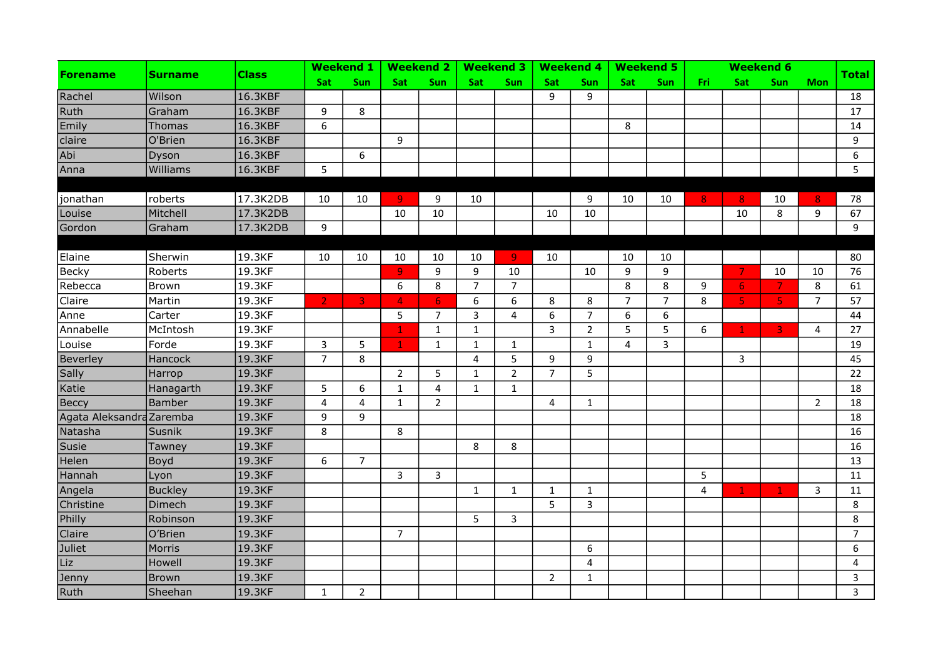|                          | <b>Surname</b> |          |                | <b>Weekend 1</b>        |                | <b>Weekend 2</b> |                         | <b>Weekend 3</b> |                | <b>Weekend 4</b> |                | <b>Weekend 5</b> |                |                | <b>Weekend 6</b>        |                |                |
|--------------------------|----------------|----------|----------------|-------------------------|----------------|------------------|-------------------------|------------------|----------------|------------------|----------------|------------------|----------------|----------------|-------------------------|----------------|----------------|
| <b>Forename</b>          |                | Class    | <b>Sat</b>     | Sun                     | <b>Sat</b>     | <b>Sun</b>       | <b>Sat</b>              | Sun              | Sat            | <b>Sun</b>       | <b>Sat</b>     | Sun              | Fri            | Sat            | <b>Sun</b>              | <b>Mon</b>     | Total          |
| Rachel                   | Wilson         | 16.3KBF  |                |                         |                |                  |                         |                  | 9              | 9                |                |                  |                |                |                         |                | 18             |
| Ruth                     | Graham         | 16.3KBF  | 9              | 8                       |                |                  |                         |                  |                |                  |                |                  |                |                |                         |                | 17             |
| Emily                    | <b>Thomas</b>  | 16.3KBF  | 6              |                         |                |                  |                         |                  |                |                  | 8              |                  |                |                |                         |                | 14             |
| claire                   | O'Brien        | 16.3KBF  |                |                         | 9              |                  |                         |                  |                |                  |                |                  |                |                |                         |                | 9              |
| Abi                      | Dyson          | 16.3KBF  |                | 6                       |                |                  |                         |                  |                |                  |                |                  |                |                |                         |                | 6              |
| Anna                     | Williams       | 16.3KBF  | 5              |                         |                |                  |                         |                  |                |                  |                |                  |                |                |                         |                | 5              |
|                          |                |          |                |                         |                |                  |                         |                  |                |                  |                |                  |                |                |                         |                |                |
| jonathan                 | roberts        | 17.3K2DB | 10             | 10                      | $\overline{9}$ | 9                | 10                      |                  |                | 9                | 10             | 10               | 8 <sub>1</sub> | 8              | 10                      | 8              | 78             |
| Louise                   | Mitchell       | 17.3K2DB |                |                         | 10             | 10               |                         |                  | 10             | 10               |                |                  |                | 10             | 8                       | 9              | 67             |
| Gordon                   | Graham         | 17.3K2DB | 9              |                         |                |                  |                         |                  |                |                  |                |                  |                |                |                         |                | 9              |
|                          |                |          |                |                         |                |                  |                         |                  |                |                  |                |                  |                |                |                         |                |                |
| Elaine                   | Sherwin        | 19.3KF   | 10             | 10                      | 10             | 10               | 10                      | -91              | 10             |                  | 10             | 10               |                |                |                         |                | 80             |
| <b>Becky</b>             | Roberts        | 19.3KF   |                |                         | 9              | 9                | 9                       | 10               |                | 10               | 9              | 9                |                | $\overline{7}$ | 10                      | 10             | 76             |
| Rebecca                  | Brown          | 19.3KF   |                |                         | 6              | 8                | $\overline{7}$          | $\overline{7}$   |                |                  | 8              | 8                | 9              | 6              | $\overline{7}$          | 8              | 61             |
| Claire                   | Martin         | 19.3KF   | $\overline{2}$ | $\overline{\mathbf{3}}$ | $\overline{4}$ | 6                | $\boldsymbol{6}$        | 6                | 8              | 8                | $\overline{7}$ | $\overline{7}$   | 8              | $\overline{5}$ | $\overline{5}$          | $\overline{7}$ | 57             |
| Anne                     | Carter         | 19.3KF   |                |                         | 5              | $\overline{7}$   | 3                       | 4                | 6              | $\overline{7}$   | 6              | 6                |                |                |                         |                | 44             |
| Annabelle                | McIntosh       | 19.3KF   |                |                         | $\mathbf 1$    | $\mathbf{1}$     | $\mathbf{1}$            |                  | $\overline{3}$ | $\overline{2}$   | 5              | 5                | 6              | $\mathbf 1$    | $\overline{\mathbf{3}}$ | 4              | 27             |
| Louise                   | Forde          | 19.3KF   | 3              | 5                       | $\mathbf{1}$   | $\mathbf{1}$     | $\mathbf 1$             | $\mathbf{1}$     |                | $\mathbf{1}$     | 4              | 3                |                |                |                         |                | 19             |
| Beverley                 | Hancock        | 19.3KF   | $\overline{7}$ | 8                       |                |                  | $\overline{\mathbf{4}}$ | 5                | 9              | 9                |                |                  |                | 3              |                         |                | 45             |
| Sally                    | Harrop         | 19.3KF   |                |                         | $\overline{2}$ | 5                | $\mathbf{1}$            | $\overline{2}$   | $\overline{7}$ | 5                |                |                  |                |                |                         |                | 22             |
| Katie                    | Hanagarth      | 19.3KF   | 5              | 6                       | $\mathbf{1}$   | $\overline{4}$   | $\mathbf{1}$            | $\mathbf{1}$     |                |                  |                |                  |                |                |                         |                | 18             |
| Beccy                    | Bamber         | 19.3KF   | $\overline{4}$ | 4                       | $\mathbf{1}$   | $\overline{2}$   |                         |                  | $\overline{4}$ | $\mathbf{1}$     |                |                  |                |                |                         | $\overline{2}$ | 18             |
| Agata Aleksandra Zaremba |                | 19.3KF   | 9              | 9                       |                |                  |                         |                  |                |                  |                |                  |                |                |                         |                | 18             |
| Natasha                  | Susnik         | 19.3KF   | 8              |                         | 8              |                  |                         |                  |                |                  |                |                  |                |                |                         |                | 16             |
| Susie                    | Tawney         | 19.3KF   |                |                         |                |                  | 8                       | 8                |                |                  |                |                  |                |                |                         |                | 16             |
| Helen                    | Boyd           | 19.3KF   | 6              | $\overline{7}$          |                |                  |                         |                  |                |                  |                |                  |                |                |                         |                | 13             |
| Hannah                   | Lyon           | 19.3KF   |                |                         | 3              | 3                |                         |                  |                |                  |                |                  | 5              |                |                         |                | 11             |
| Angela                   | <b>Buckley</b> | 19.3KF   |                |                         |                |                  | $\mathbf{1}$            | $\mathbf{1}$     | $\mathbf{1}$   | $\mathbf{1}$     |                |                  | $\overline{4}$ | $\mathbf{1}$   | $\mathbf{1}$            | 3              | 11             |
| Christine                | Dimech         | 19.3KF   |                |                         |                |                  |                         |                  | 5 <sup>5</sup> | $\overline{3}$   |                |                  |                |                |                         |                | 8              |
| Philly                   | Robinson       | 19.3KF   |                |                         |                |                  | 5                       | $\mathbf{3}$     |                |                  |                |                  |                |                |                         |                | 8              |
| Claire                   | O'Brien        | 19.3KF   |                |                         | $\overline{7}$ |                  |                         |                  |                |                  |                |                  |                |                |                         |                | $\overline{7}$ |
| Juliet                   | Morris         | 19.3KF   |                |                         |                |                  |                         |                  |                | 6                |                |                  |                |                |                         |                | 6              |
| Liz                      | Howell         | 19.3KF   |                |                         |                |                  |                         |                  |                | $\overline{4}$   |                |                  |                |                |                         |                | 4              |
| Jenny                    | <b>Brown</b>   | 19.3KF   |                |                         |                |                  |                         |                  | $\overline{2}$ | $\mathbf{1}$     |                |                  |                |                |                         |                | 3              |
| Ruth                     | Sheehan        | 19.3KF   | $\mathbf{1}$   | $\overline{2}$          |                |                  |                         |                  |                |                  |                |                  |                |                |                         |                | $\overline{3}$ |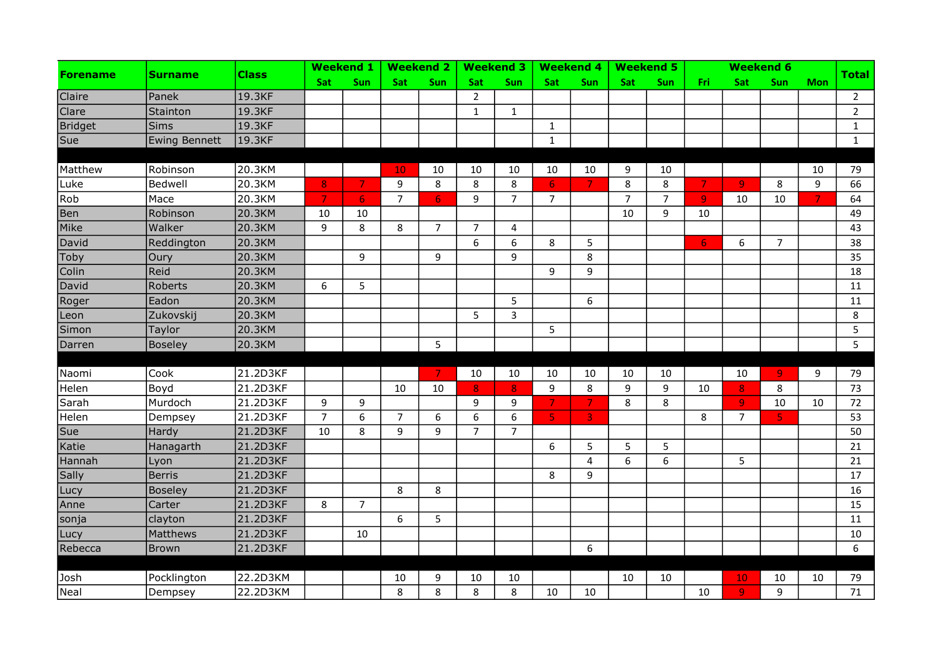|                 | <b>Surname</b>       | Class    |                | <b>Weekend 1</b> |                | <b>Weekend 2</b> |                  | <b>Weekend 3</b> |                         | <b>Weekend 4</b>        |                | <b>Weekend 5</b> |                |                | <b>Weekend 6</b>        |                |                |
|-----------------|----------------------|----------|----------------|------------------|----------------|------------------|------------------|------------------|-------------------------|-------------------------|----------------|------------------|----------------|----------------|-------------------------|----------------|----------------|
| <b>Forename</b> |                      |          | Sat            | Sun              | <b>Sat</b>     | Sun              | Sat              | Sun              | Sat                     | Sun                     | <b>Sat</b>     | Sun              | Fri            | Sat            | <b>Sun</b>              | <b>Mon</b>     | <b>Total</b>   |
| Claire          | Panek                | 19.3KF   |                |                  |                |                  | $\overline{2}$   |                  |                         |                         |                |                  |                |                |                         |                | $\overline{2}$ |
| Clare           | Stainton             | 19.3KF   |                |                  |                |                  | $\mathbf{1}$     | $\mathbf{1}$     |                         |                         |                |                  |                |                |                         |                | $\overline{2}$ |
| Bridget         | <b>Sims</b>          | 19.3KF   |                |                  |                |                  |                  |                  | $\mathbf{1}$            |                         |                |                  |                |                |                         |                | $\mathbf{1}$   |
| Sue             | <b>Ewing Bennett</b> | 19.3KF   |                |                  |                |                  |                  |                  | $\mathbf{1}$            |                         |                |                  |                |                |                         |                | $\mathbf{1}$   |
|                 |                      |          |                |                  |                |                  |                  |                  |                         |                         |                |                  |                |                |                         |                |                |
| Matthew         | Robinson             | 20.3KM   |                |                  | 10             | 10               | 10               | 10               | 10                      | 10                      | 9              | 10               |                |                |                         | 10             | 79             |
| Luke            | Bedwell              | 20.3KM   | 8              | $\clubsuit$      | 9              | 8                | 8                | 8                | 6 <sup>1</sup>          | $\mathcal{T}$           | 8              | 8                | 7.             | $\overline{9}$ | 8                       | 9              | 66             |
| Rob             | Mace                 | 20.3KM   | $\overline{7}$ | 6 <sup>1</sup>   | $\overline{7}$ | 6 <sub>1</sub>   | 9                | $\overline{7}$   | $\overline{7}$          |                         | $\overline{7}$ | $\overline{7}$   | 9              | 10             | 10                      | $\overline{7}$ | 64             |
| Ben             | Robinson             | 20.3KM   | 10             | 10               |                |                  |                  |                  |                         |                         | 10             | 9                | 10             |                |                         |                | 49             |
| Mike            | Walker               | 20.3KM   | 9              | 8                | 8              | $\overline{7}$   | $\overline{7}$   | 4                |                         |                         |                |                  |                |                |                         |                | 43             |
| David           | Reddington           | 20.3KM   |                |                  |                |                  | 6                | 6                | 8                       | 5                       |                |                  | 6 <sub>1</sub> | 6              | $\overline{7}$          |                | 38             |
| Toby            | Oury                 | 20.3KM   |                | 9                |                | 9                |                  | 9                |                         | 8                       |                |                  |                |                |                         |                | 35             |
| Colin           | Reid                 | 20.3KM   |                |                  |                |                  |                  |                  | 9                       | 9                       |                |                  |                |                |                         |                | 18             |
| David           | Roberts              | 20.3KM   | 6              | 5                |                |                  |                  |                  |                         |                         |                |                  |                |                |                         |                | 11             |
| Roger           | Eadon                | 20.3KM   |                |                  |                |                  |                  | 5                |                         | 6                       |                |                  |                |                |                         |                | 11             |
| Leon            | Zukovskij            | 20.3KM   |                |                  |                |                  | 5                | 3                |                         |                         |                |                  |                |                |                         |                | 8              |
| Simon           | Taylor               | 20.3KM   |                |                  |                |                  |                  |                  | 5                       |                         |                |                  |                |                |                         |                | 5              |
| Darren          | Boseley              | 20.3KM   |                |                  |                | 5                |                  |                  |                         |                         |                |                  |                |                |                         |                | 5              |
|                 |                      |          |                |                  |                |                  |                  |                  |                         |                         |                |                  |                |                |                         |                |                |
| Naomi           | Cook                 | 21.2D3KF |                |                  |                | $\overline{7}$   | 10               | 10               | 10                      | 10                      | 10             | 10               |                | 10             | $\overline{9}$          | 9              | 79             |
| Helen           | Boyd                 | 21.2D3KF |                |                  | 10             | 10               | 8                | 8                | 9                       | 8                       | 9              | 9                | 10             | $\bf{8}$       | 8                       |                | 73             |
| Sarah           | Murdoch              | 21.2D3KF | 9              | 9                |                |                  | 9                | 9                | $\overline{7}$          | $\overline{7}$          | 8              | 8                |                | $\overline{9}$ | 10                      | 10             | 72             |
| Helen           | Dempsey              | 21.2D3KF | $\overline{7}$ | 6                | $\overline{7}$ | 6                | $\boldsymbol{6}$ | 6                | $\overline{\mathbf{5}}$ | $\overline{\mathbf{3}}$ |                |                  | 8              | $\overline{7}$ | $\overline{\mathbf{5}}$ |                | 53             |
| Sue             | Hardy                | 21.2D3KF | 10             | 8                | 9              | 9                | $\overline{7}$   | $\overline{7}$   |                         |                         |                |                  |                |                |                         |                | 50             |
| Katie           | Hanagarth            | 21.2D3KF |                |                  |                |                  |                  |                  | 6                       | 5                       | 5              | 5                |                |                |                         |                | 21             |
| Hannah          | Lyon                 | 21.2D3KF |                |                  |                |                  |                  |                  |                         | $\overline{\mathbf{4}}$ | 6              | 6                |                | 5              |                         |                | 21             |
| Sally           | <b>Berris</b>        | 21.2D3KF |                |                  |                |                  |                  |                  | 8                       | 9                       |                |                  |                |                |                         |                | 17             |
| Lucy            | <b>Boseley</b>       | 21.2D3KF |                |                  | 8              | 8                |                  |                  |                         |                         |                |                  |                |                |                         |                | 16             |
| Anne            | Carter               | 21.2D3KF | 8              | $\overline{7}$   |                |                  |                  |                  |                         |                         |                |                  |                |                |                         |                | 15             |
| sonja           | clayton              | 21.2D3KF |                |                  | 6              | 5                |                  |                  |                         |                         |                |                  |                |                |                         |                | 11             |
| Lucy            | <b>Matthews</b>      | 21.2D3KF |                | 10               |                |                  |                  |                  |                         |                         |                |                  |                |                |                         |                | 10             |
| Rebecca         | <b>Brown</b>         | 21.2D3KF |                |                  |                |                  |                  |                  |                         | 6                       |                |                  |                |                |                         |                | 6              |
|                 |                      |          |                |                  |                |                  |                  |                  |                         |                         |                |                  |                |                |                         |                |                |
| Josh            | Pocklington          | 22.2D3KM |                |                  | 10             | 9                | 10               | 10               |                         |                         | 10             | 10               |                | 10             | 10                      | 10             | 79             |
| Neal            | Dempsey              | 22.2D3KM |                |                  | 8              | 8                | 8                | 8                | 10                      | 10                      |                |                  | 10             | $\overline{9}$ | 9                       |                | 71             |